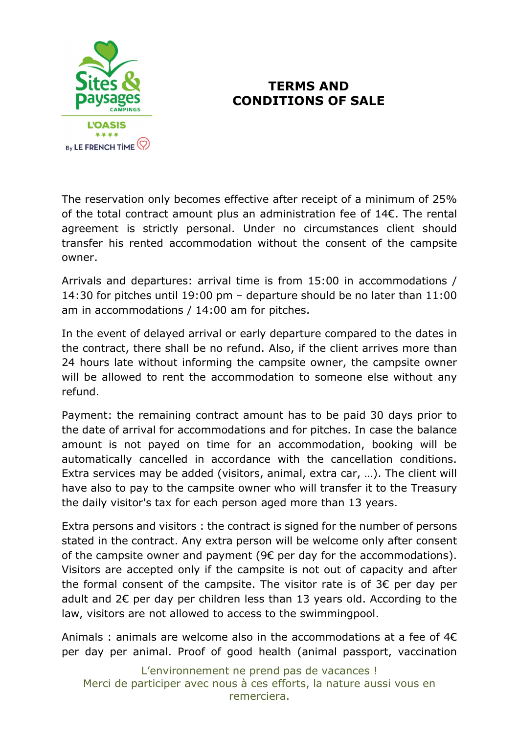

## TERMS AND CONDITIONS OF SALE

The reservation only becomes effective after receipt of a minimum of 25% of the total contract amount plus an administration fee of 14€. The rental agreement is strictly personal. Under no circumstances client should transfer his rented accommodation without the consent of the campsite owner.

Arrivals and departures: arrival time is from 15:00 in accommodations / 14:30 for pitches until 19:00 pm – departure should be no later than 11:00 am in accommodations / 14:00 am for pitches.

In the event of delayed arrival or early departure compared to the dates in the contract, there shall be no refund. Also, if the client arrives more than 24 hours late without informing the campsite owner, the campsite owner will be allowed to rent the accommodation to someone else without any refund.

Payment: the remaining contract amount has to be paid 30 days prior to the date of arrival for accommodations and for pitches. In case the balance amount is not payed on time for an accommodation, booking will be automatically cancelled in accordance with the cancellation conditions. Extra services may be added (visitors, animal, extra car, …). The client will have also to pay to the campsite owner who will transfer it to the Treasury the daily visitor's tax for each person aged more than 13 years.

Extra persons and visitors : the contract is signed for the number of persons stated in the contract. Any extra person will be welcome only after consent of the campsite owner and payment ( $9\epsilon$  per day for the accommodations). Visitors are accepted only if the campsite is not out of capacity and after the formal consent of the campsite. The visitor rate is of  $3\epsilon$  per day per adult and 2€ per day per children less than 13 years old. According to the law, visitors are not allowed to access to the swimmingpool.

Animals : animals are welcome also in the accommodations at a fee of  $4E$ per day per animal. Proof of good health (animal passport, vaccination

L'environnement ne prend pas de vacances ! Merci de participer avec nous à ces efforts, la nature aussi vous en remerciera.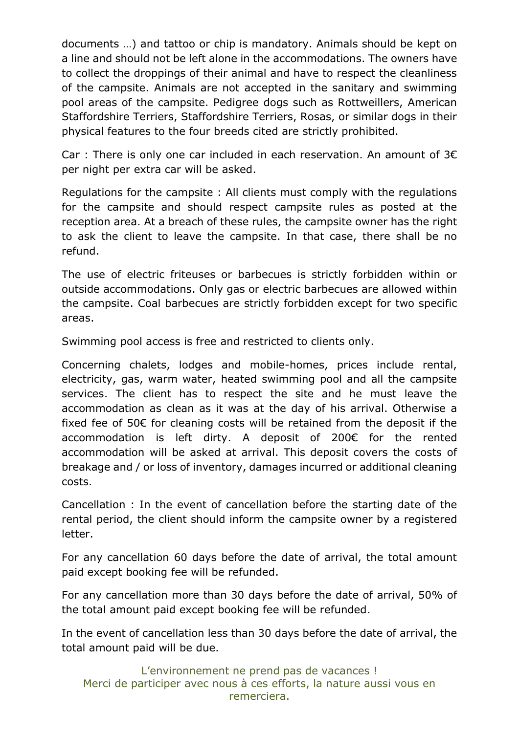documents …) and tattoo or chip is mandatory. Animals should be kept on a line and should not be left alone in the accommodations. The owners have to collect the droppings of their animal and have to respect the cleanliness of the campsite. Animals are not accepted in the sanitary and swimming pool areas of the campsite. Pedigree dogs such as Rottweillers, American Staffordshire Terriers, Staffordshire Terriers, Rosas, or similar dogs in their physical features to the four breeds cited are strictly prohibited.

Car : There is only one car included in each reservation. An amount of 3€ per night per extra car will be asked.

Regulations for the campsite : All clients must comply with the regulations for the campsite and should respect campsite rules as posted at the reception area. At a breach of these rules, the campsite owner has the right to ask the client to leave the campsite. In that case, there shall be no refund.

The use of electric friteuses or barbecues is strictly forbidden within or outside accommodations. Only gas or electric barbecues are allowed within the campsite. Coal barbecues are strictly forbidden except for two specific areas.

Swimming pool access is free and restricted to clients only.

Concerning chalets, lodges and mobile-homes, prices include rental, electricity, gas, warm water, heated swimming pool and all the campsite services. The client has to respect the site and he must leave the accommodation as clean as it was at the day of his arrival. Otherwise a fixed fee of 50€ for cleaning costs will be retained from the deposit if the accommodation is left dirty. A deposit of 200€ for the rented accommodation will be asked at arrival. This deposit covers the costs of breakage and / or loss of inventory, damages incurred or additional cleaning costs.

Cancellation : In the event of cancellation before the starting date of the rental period, the client should inform the campsite owner by a registered letter.

For any cancellation 60 days before the date of arrival, the total amount paid except booking fee will be refunded.

For any cancellation more than 30 days before the date of arrival, 50% of the total amount paid except booking fee will be refunded.

In the event of cancellation less than 30 days before the date of arrival, the total amount paid will be due.

L'environnement ne prend pas de vacances ! Merci de participer avec nous à ces efforts, la nature aussi vous en remerciera.